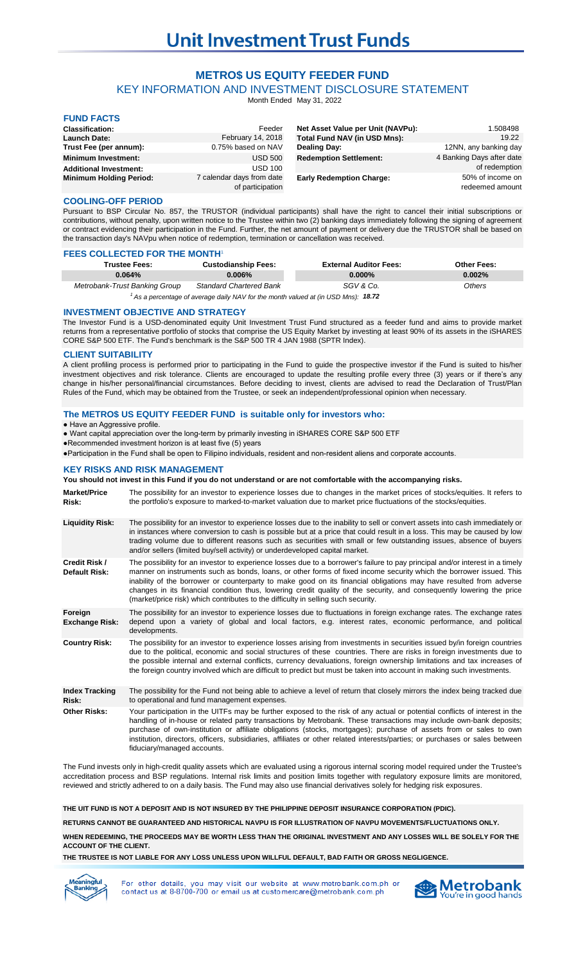# **METRO\$ US EQUITY FEEDER FUND**

KEY INFORMATION AND INVESTMENT DISCLOSURE STATEMENT

Month Ended May 31, 2022

| <b>FUND FACTS</b>              |                                               |                                   |                                     |
|--------------------------------|-----------------------------------------------|-----------------------------------|-------------------------------------|
| <b>Classification:</b>         | Feeder                                        | Net Asset Value per Unit (NAVPu): | 1.508498                            |
| <b>Launch Date:</b>            | February 14, 2018                             | Total Fund NAV (in USD Mns):      | 19.22                               |
| Trust Fee (per annum):         | 0.75% based on NAV                            | Dealing Day:                      | 12NN, any banking day               |
| <b>Minimum Investment:</b>     | <b>USD 500</b>                                | <b>Redemption Settlement:</b>     | 4 Banking Days after date           |
| <b>Additional Investment:</b>  | <b>USD 100</b>                                |                                   | of redemption                       |
| <b>Minimum Holding Period:</b> | 7 calendar days from date<br>of participation | <b>Early Redemption Charge:</b>   | 50% of income on<br>redeemed amount |

# **COOLING-OFF PERIOD**

Pursuant to BSP Circular No. 857, the TRUSTOR (individual participants) shall have the right to cancel their initial subscriptions or contributions, without penalty, upon written notice to the Trustee within two (2) banking days immediately following the signing of agreement or contract evidencing their participation in the Fund. Further, the net amount of payment or delivery due the TRUSTOR shall be based on the transaction day's NAVpu when notice of redemption, termination or cancellation was received.

## **FEES COLLECTED FOR THE MONTH**

| <b>Trustee Fees:</b>                                                                         | <b>Custodianship Fees:</b>     | <b>External Auditor Fees:</b> | <b>Other Fees:</b> |
|----------------------------------------------------------------------------------------------|--------------------------------|-------------------------------|--------------------|
| 0.064%                                                                                       | $0.006\%$                      | $0.000\%$                     | 0.002%             |
| Metrobank-Trust Banking Group                                                                | <b>Standard Chartered Bank</b> | SGV & Co.                     | Others             |
| $^{\prime}$ As a percentage of average daily NAV for the month valued at (in USD Mns): 18.72 |                                |                               |                    |

# **INVESTMENT OBJECTIVE AND STRATEGY**

The Investor Fund is a USD-denominated equity Unit Investment Trust Fund structured as a feeder fund and aims to provide market returns from a representative portfolio of stocks that comprise the US Equity Market by investing at least 90% of its assets in the iSHARES CORE S&P 500 ETF. The Fund's benchmark is the S&P 500 TR 4 JAN 1988 (SPTR Index).

# **CLIENT SUITABILITY**

A client profiling process is performed prior to participating in the Fund to guide the prospective investor if the Fund is suited to his/her investment objectives and risk tolerance. Clients are encouraged to update the resulting profile every three (3) years or if there's any change in his/her personal/financial circumstances. Before deciding to invest, clients are advised to read the Declaration of Trust/Plan Rules of the Fund, which may be obtained from the Trustee, or seek an independent/professional opinion when necessary.

# **The METRO\$ US EQUITY FEEDER FUND is suitable only for investors who:**

● Have an Aggressive profile.

● Want capital appreciation over the long-term by primarily investing in iSHARES CORE S&P 500 ETF

●Recommended investment horizon is at least five (5) years

fiduciary/managed accounts.

●Participation in the Fund shall be open to Filipino individuals, resident and non-resident aliens and corporate accounts.

#### **KEY RISKS AND RISK MANAGEMENT**

## **You should not invest in this Fund if you do not understand or are not comfortable with the accompanying risks.**

**Market/Price Risk: Liquidity Risk: Credit Risk / Default Risk: Foreign Exchange Risk: Country Risk: Index Tracking Risk: Other Risks:** The possibility for the Fund not being able to achieve a level of return that closely mirrors the index being tracked due to operational and fund management expenses. The possibility for an investor to experience losses due to changes in the market prices of stocks/equities. It refers to the portfolio's exposure to marked-to-market valuation due to market price fluctuations of the stocks/equities. The possibility for an investor to experience losses due to the inability to sell or convert assets into cash immediately or in instances where conversion to cash is possible but at a price that could result in a loss. This may be caused by low trading volume due to different reasons such as securities with small or few outstanding issues, absence of buyers and/or sellers (limited buy/sell activity) or underdeveloped capital market. The possibility for an investor to experience losses due to a borrower's failure to pay principal and/or interest in a timely manner on instruments such as bonds, loans, or other forms of fixed income security which the borrower issued. This inability of the borrower or counterparty to make good on its financial obligations may have resulted from adverse changes in its financial condition thus, lowering credit quality of the security, and consequently lowering the price (market/price risk) which contributes to the difficulty in selling such security. The possibility for an investor to experience losses due to fluctuations in foreign exchange rates. The exchange rates depend upon a variety of global and local factors, e.g. interest rates, economic performance, and political developments. The possibility for an investor to experience losses arising from investments in securities issued by/in foreign countries due to the political, economic and social structures of these countries. There are risks in foreign investments due to the possible internal and external conflicts, currency devaluations, foreign ownership limitations and tax increases of the foreign country involved which are difficult to predict but must be taken into account in making such investments. Your participation in the UITFs may be further exposed to the risk of any actual or potential conflicts of interest in the handling of in-house or related party transactions by Metrobank. These transactions may include own-bank deposits; purchase of own-institution or affiliate obligations (stocks, mortgages); purchase of assets from or sales to own

The Fund invests only in high-credit quality assets which are evaluated using a rigorous internal scoring model required under the Trustee's accreditation process and BSP regulations. Internal risk limits and position limits together with regulatory exposure limits are monitored, reviewed and strictly adhered to on a daily basis. The Fund may also use financial derivatives solely for hedging risk exposures.

institution, directors, officers, subsidiaries, affiliates or other related interests/parties; or purchases or sales between

**THE UIT FUND IS NOT A DEPOSIT AND IS NOT INSURED BY THE PHILIPPINE DEPOSIT INSURANCE CORPORATION (PDIC).**

**RETURNS CANNOT BE GUARANTEED AND HISTORICAL NAVPU IS FOR ILLUSTRATION OF NAVPU MOVEMENTS/FLUCTUATIONS ONLY.**

**WHEN REDEEMING, THE PROCEEDS MAY BE WORTH LESS THAN THE ORIGINAL INVESTMENT AND ANY LOSSES WILL BE SOLELY FOR THE ACCOUNT OF THE CLIENT.**

**THE TRUSTEE IS NOT LIABLE FOR ANY LOSS UNLESS UPON WILLFUL DEFAULT, BAD FAITH OR GROSS NEGLIGENCE.**



For other details, you may visit our website at www.metrobank.com.ph or contact us at 8-8700-700 or email us at customercare@metrobank.com.ph

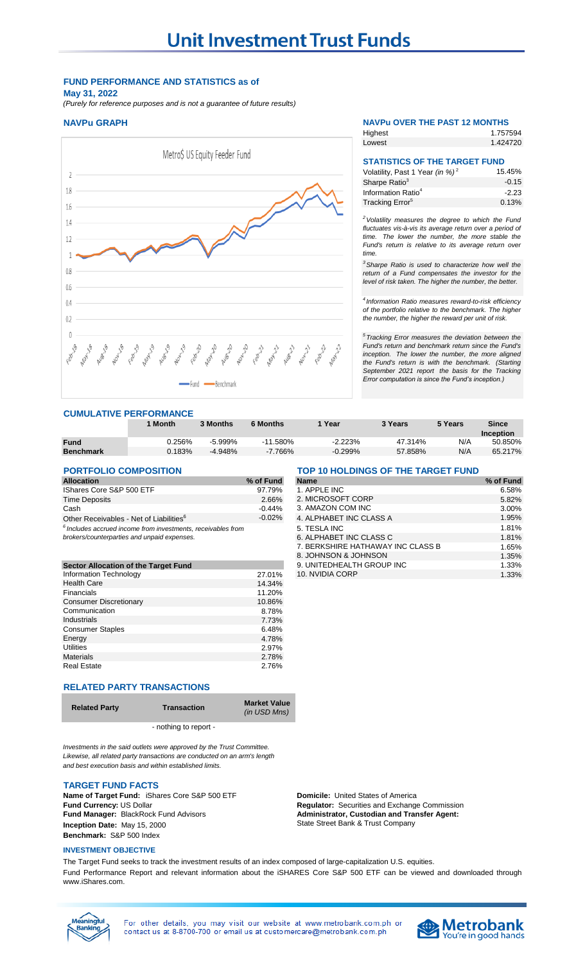# **FUND PERFORMANCE AND STATISTICS as of**

**May 31, 2022** *(Purely for reference purposes and is not a guarantee of future results)*

# **NAVPu GRAPH NAVPu OVER THE PAST 12 MONTHS**



# **CUMULATIVE PERFORMANCE**

|                  | Month     | 3 Months   | <b>6 Months</b> | Year      | 3 Years | 5 Years | Since     |
|------------------|-----------|------------|-----------------|-----------|---------|---------|-----------|
|                  |           |            |                 |           |         |         | Inception |
| <b>Fund</b>      | ገ.256%    | $-5.999\%$ | $-11.580%$      | $-2.223%$ | 47.314% | N/A     | 50.850%   |
| <b>Benchmark</b> | $0.183\%$ | $-4.948%$  | $-7.766%$       | $-0.299%$ | 57.858% | N/A     | 65.217%   |

# **PORTFOLIO COMPOSITION**

| <b>Allocation</b>                                   | % of Fund |
|-----------------------------------------------------|-----------|
| IShares Core S&P 500 ETF                            | 97.79%    |
| <b>Time Deposits</b>                                | 2.66%     |
| Cash                                                | $-0.44%$  |
| Other Receivables - Net of Liabilities <sup>6</sup> | $-0.02%$  |
|                                                     |           |

| <u>brokers/counterparties and unpaid expense</u> |  |  |
|--------------------------------------------------|--|--|
|                                                  |  |  |

| <b>Sector Allocation of the Target Fund</b> |        |
|---------------------------------------------|--------|
| Information Technology                      | 27.01% |
| <b>Health Care</b>                          | 14.34% |
| Financials                                  | 11.20% |
| <b>Consumer Discretionary</b>               | 10.86% |
| Communication                               | 8.78%  |
| Industrials                                 | 7.73%  |
| <b>Consumer Staples</b>                     | 6.48%  |
| Energy                                      | 4.78%  |
| <b>Utilities</b>                            | 2.97%  |
| <b>Materials</b>                            | 2.78%  |
| <b>Real Estate</b>                          | 2.76%  |

# **RELATED PARTY TRANSACTIONS**

| ed Party | <b>Transaction</b> | <b>Market Value</b><br>(in USD Mns) |
|----------|--------------------|-------------------------------------|
|          |                    |                                     |

- nothing to report -

*Investments in the said outlets were approved by the Trust Committee. Likewise, all related party transactions are conducted on an arm's length and best execution basis and within established limits.*

# **TARGET FUND FACTS**

**Relat** 

**Name of Target Fund:** iShares Core S&P 500 ETF **Domicile:** United States of America<br> **Pund Currency:** US Dollar **Domicile:** *Domicile: Regulator: Securities and Exchange* **Fund Manager:** BlackRock Fund Advisors **Inception Date:** May 15, 2000 **Benchmark:** S&P 500 Index

### **INVESTMENT OBJECTIVE**

**Regulator:** Securities and Exchange Commission **Administrator, Custodian and Transfer Agent:**  State Street Bank & Trust Company

The Target Fund seeks to track the investment results of an index composed of large-capitalization U.S. equities. Fund Performance Report and relevant information about the iSHARES Core S&P 500 ETF can be viewed and downloaded through www.iShares.com.

| leaningful<br>lankind |  |
|-----------------------|--|
|                       |  |
|                       |  |



*time.* 

Lowest

**Highest** 

Sharpe Ratio<sup>3</sup> Information Ratio<sup>4</sup> Tracking Error<sup>5</sup>

1.757594 1.424720

> 15.45% -0.15 -2.23 0.13%

**STATISTICS OF THE TARGET FUND**

Volatility, Past 1 Year *(in %)* <sup>2</sup>

*<sup>2</sup>Volatility measures the degree to which the Fund fluctuates vis-à-vis its average return over a period of time. The lower the number, the more stable the Fund's return is relative to its average return over*

*<sup>3</sup>Sharpe Ratio is used to characterize how well the return of a Fund compensates the investor for the level of risk taken. The higher the number, the better.*

*5 Tracking Error measures the deviation between the Fund's return and benchmark return since the Fund's inception. The lower the number, the more aligned the Fund's return is with the benchmark. (Starting September 2021 report the basis for the Tracking Error computation is since the Fund's inception.)*

*4 Information Ratio measures reward-to-risk efficiency of the portfolio relative to the benchmark. The higher the number, the higher the reward per unit of risk.*

| <b>Allocation</b>                                               | % of Fund | <b>Name</b>                       | % of Fund |
|-----------------------------------------------------------------|-----------|-----------------------------------|-----------|
| IShares Core S&P 500 ETF                                        | 97.79%    | 1. APPLE INC                      | 6.58%     |
| Time Deposits                                                   | 2.66%     | 2. MICROSOFT CORP                 | 5.82%     |
| Cash                                                            | $-0.44%$  | 3. AMAZON COM INC                 | 3.00%     |
| Other Receivables - Net of Liabilities <sup>6</sup>             | $-0.02\%$ | 4. ALPHABET INC CLASS A           | 1.95%     |
| $^6$ Includes accrued income from investments, receivables from |           | 5. TESLA INC                      | 1.81%     |
| brokers/counterparties and unpaid expenses.                     |           | 6. ALPHABET INC CLASS C           | 1.81%     |
|                                                                 |           | 7. BERKSHIRE HATHAWAY INC CLASS B | 1.65%     |
|                                                                 |           | 8. JOHNSON & JOHNSON              | 1.35%     |
| <b>Sector Allocation of the Target Fund</b>                     |           | 9. UNITEDHEALTH GROUP INC         | 1.33%     |
| Information Technology                                          | 27.01%    | 10. NVIDIA CORP                   | 1.33%     |
|                                                                 |           |                                   |           |